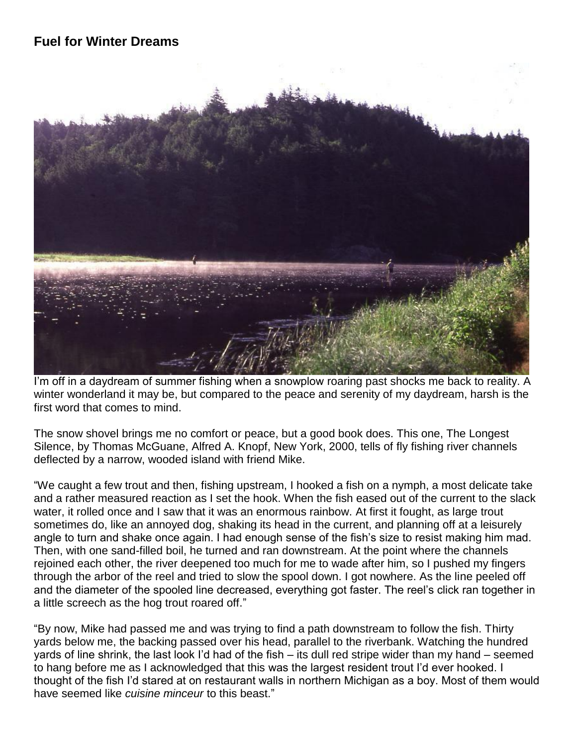## **Fuel for Winter Dreams**



I'm off in a daydream of summer fishing when a snowplow roaring past shocks me back to reality. A winter wonderland it may be, but compared to the peace and serenity of my daydream, harsh is the first word that comes to mind.

The snow shovel brings me no comfort or peace, but a good book does. This one, The Longest Silence, by Thomas McGuane, Alfred A. Knopf, New York, 2000, tells of fly fishing river channels deflected by a narrow, wooded island with friend Mike.

"We caught a few trout and then, fishing upstream, I hooked a fish on a nymph, a most delicate take and a rather measured reaction as I set the hook. When the fish eased out of the current to the slack water, it rolled once and I saw that it was an enormous rainbow. At first it fought, as large trout sometimes do, like an annoyed dog, shaking its head in the current, and planning off at a leisurely angle to turn and shake once again. I had enough sense of the fish's size to resist making him mad. Then, with one sand-filled boil, he turned and ran downstream. At the point where the channels rejoined each other, the river deepened too much for me to wade after him, so I pushed my fingers through the arbor of the reel and tried to slow the spool down. I got nowhere. As the line peeled off and the diameter of the spooled line decreased, everything got faster. The reel's click ran together in a little screech as the hog trout roared off."

"By now, Mike had passed me and was trying to find a path downstream to follow the fish. Thirty yards below me, the backing passed over his head, parallel to the riverbank. Watching the hundred yards of line shrink, the last look I'd had of the fish – its dull red stripe wider than my hand – seemed to hang before me as I acknowledged that this was the largest resident trout I'd ever hooked. I thought of the fish I'd stared at on restaurant walls in northern Michigan as a boy. Most of them would have seemed like *cuisine minceur* to this beast."